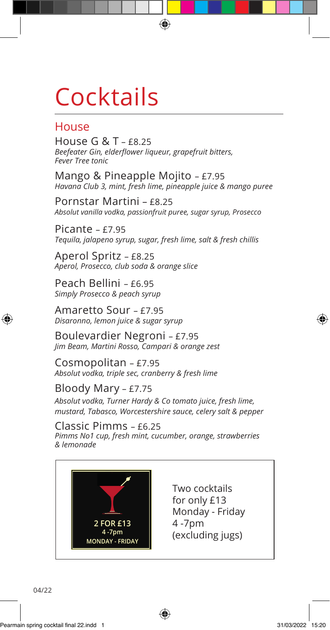# **Cocktails**

### House

House G & T – £8.25 *Beefeater Gin, elderflower liqueur, grapefruit bitters, Fever Tree tonic*

Mango & Pineapple Mojito – £7.95 *Havana Club 3, mint, fresh lime, pineapple juice & mango puree*

⊕

Pornstar Martini – £8.25 *Absolut vanilla vodka, passionfruit puree, sugar syrup, Prosecco*

Picante – £7.95 *Tequila, jalapeno syrup, sugar, fresh lime, salt & fresh chillis*

Aperol Spritz – £8.25 *Aperol, Prosecco, club soda & orange slice*

Peach Bellini – £6.95 *Simply Prosecco & peach syrup*

Amaretto Sour – £7.95 *Disaronno, lemon juice & sugar syrup*

Boulevardier Negroni – £7.95 *Jim Beam, Martini Rosso, Campari & orange zest*

Cosmopolitan – £7.95 *Absolut vodka, triple sec, cranberry & fresh lime*

#### Bloody Mary – £7.75

*Absolut vodka, Turner Hardy & Co tomato juice, fresh lime, mustard, Tabasco, Worcestershire sauce, celery salt & pepper*

#### Classic Pimms – £6.25

*Pimms No1 cup, fresh mint, cucumber, orange, strawberries & lemonade*

⊕



Two cocktails for only £13 Monday - Friday 4 -7pm (excluding jugs)

04/22

⊕

⊕